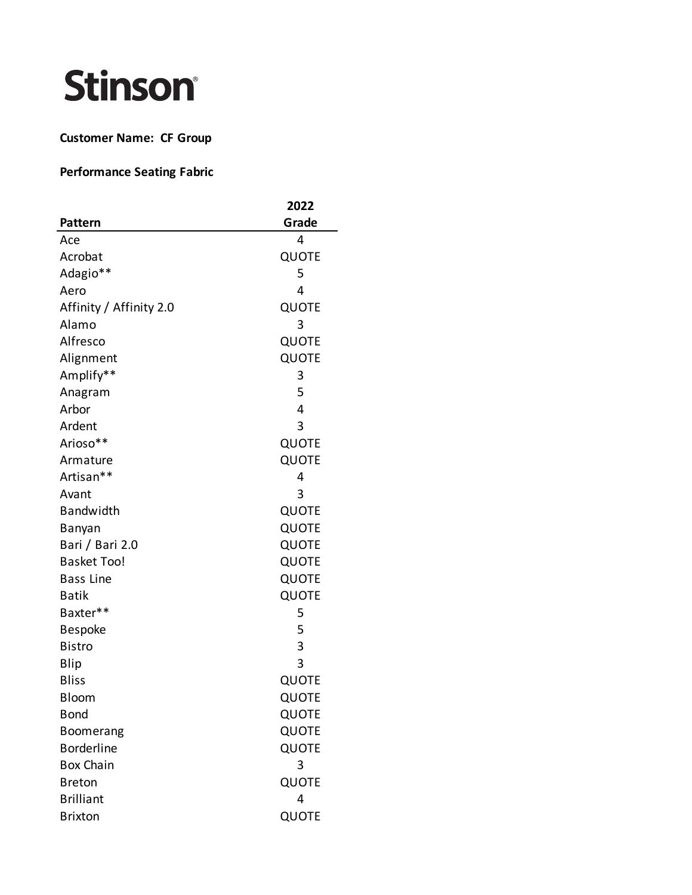## Stinson®

## **Customer Name: CF Group**

## **Performance Seating Fabric**

|                         | 2022  |
|-------------------------|-------|
| <b>Pattern</b>          | Grade |
| Ace                     | 4     |
| Acrobat                 | QUOTE |
| Adagio**                | 5     |
| Aero                    | 4     |
| Affinity / Affinity 2.0 | QUOTE |
| Alamo                   | 3     |
| Alfresco                | QUOTE |
| Alignment               | QUOTE |
| Amplify**               | 3     |
| Anagram                 | 5     |
| Arbor                   | 4     |
| Ardent                  | 3     |
| Arioso**                | QUOTE |
| Armature                | QUOTE |
| Artisan**               | 4     |
| Avant                   | 3     |
| Bandwidth               | QUOTE |
| Banyan                  | QUOTE |
| Bari / Bari 2.0         | QUOTE |
| <b>Basket Too!</b>      | QUOTE |
| <b>Bass Line</b>        | QUOTE |
| <b>Batik</b>            | QUOTE |
| Baxter**                | 5     |
| <b>Bespoke</b>          | 5     |
| <b>Bistro</b>           | 3     |
| Blip                    | 3     |
| <b>Bliss</b>            | QUOTE |
| <b>Bloom</b>            | QUOTE |
| <b>Bond</b>             | QUOTE |
| Boomerang               | QUOTE |
| <b>Borderline</b>       | QUOTE |
| <b>Box Chain</b>        | 3     |
| <b>Breton</b>           | QUOTE |
| <b>Brilliant</b>        | 4     |
| <b>Brixton</b>          | QUOTE |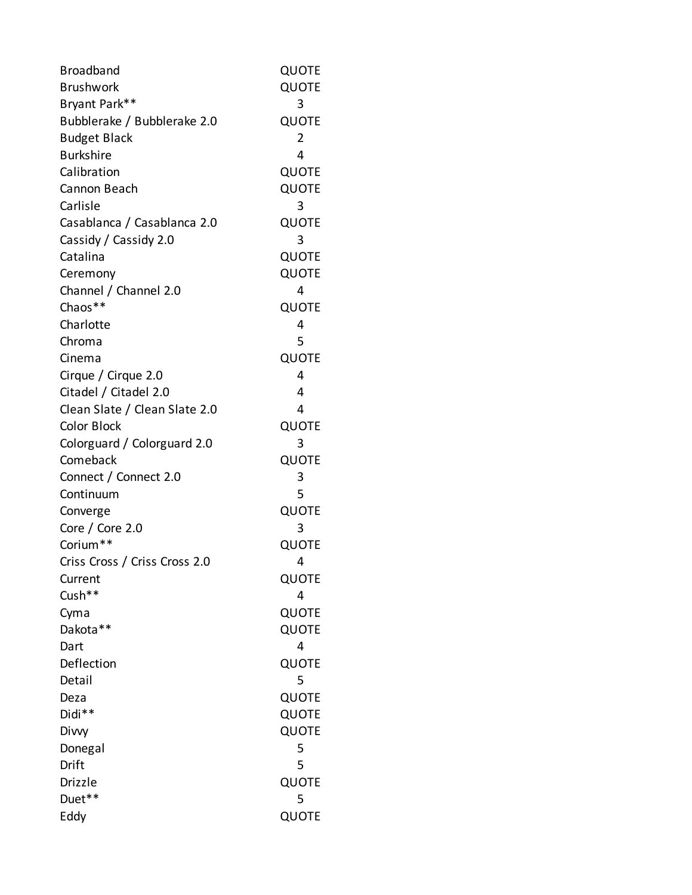| <b>Broadband</b>              | QUOTE        |
|-------------------------------|--------------|
| <b>Brushwork</b>              | QUOTE        |
| Bryant Park**                 | 3            |
| Bubblerake / Bubblerake 2.0   | <b>QUOTE</b> |
| <b>Budget Black</b>           | 2            |
| <b>Burkshire</b>              | 4            |
| Calibration                   | QUOTE        |
| Cannon Beach                  | QUOTE        |
| Carlisle                      | 3            |
| Casablanca / Casablanca 2.0   | QUOTE        |
| Cassidy / Cassidy 2.0         | 3            |
| Catalina                      | QUOTE        |
| Ceremony                      | QUOTE        |
| Channel / Channel 2.0         | 4            |
| Chaos**                       | QUOTE        |
| Charlotte                     | 4            |
| Chroma                        | 5            |
| Cinema                        | QUOTE        |
| Cirque / Cirque 2.0           | 4            |
| Citadel / Citadel 2.0         | 4            |
| Clean Slate / Clean Slate 2.0 | 4            |
| <b>Color Block</b>            | QUOTE        |
| Colorguard / Colorguard 2.0   | 3            |
| Comeback                      | QUOTE        |
| Connect / Connect 2.0         | 3            |
| Continuum                     | 5            |
| Converge                      | QUOTE        |
| Core / Core $2.0$             | 3            |
| Corium**                      | QUOTE        |
| Criss Cross / Criss Cross 2.0 | 4            |
| Current                       | QUOTE        |
| Cush**                        | 4            |
| Cyma                          | QUOTE        |
| Dakota**                      | QUOTE        |
| Dart                          | 4            |
| Deflection                    | QUOTE        |
| Detail                        | 5            |
| Deza                          | QUOTE        |
| Didi**                        | QUOTE        |
| Divvy                         | QUOTE        |
| Donegal                       | 5            |
| Drift                         | 5            |
| Drizzle                       | QUOTE        |
| Duet**                        | 5            |
| Eddy                          | QUOTE        |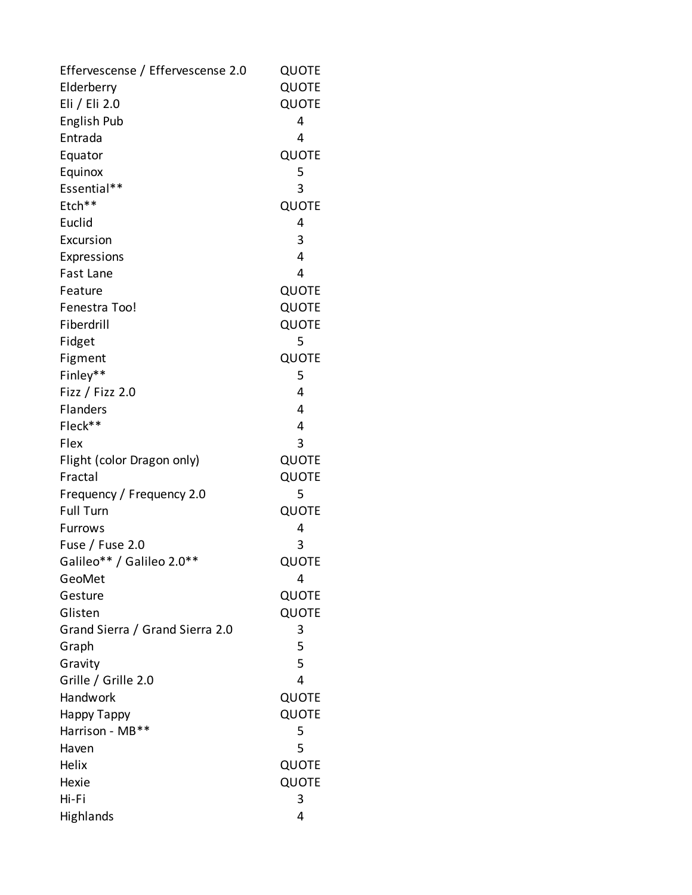| Effervescense / Effervescense 2.0 | QUOTE        |
|-----------------------------------|--------------|
| Elderberry                        | QUOTE        |
| Eli / Eli 2.0                     | <b>QUOTE</b> |
| English Pub                       | 4            |
| Entrada                           | 4            |
| Equator                           | QUOTE        |
| Equinox                           | 5            |
| Essential**                       | 3            |
| Etch**                            | QUOTE        |
| Euclid                            | 4            |
| Excursion                         | 3            |
| Expressions                       | 4            |
| Fast Lane                         | 4            |
| Feature                           | <b>QUOTE</b> |
| Fenestra Too!                     | <b>QUOTE</b> |
| Fiberdrill                        | <b>QUOTE</b> |
| Fidget                            | 5            |
| Figment                           | QUOTE        |
| Finley**                          | 5            |
| Fizz / Fizz $2.0$                 | 4            |
| Flanders                          | 4            |
| Fleck**                           | 4            |
| Flex                              | 3            |
| Flight (color Dragon only)        | QUOTE        |
| Fractal                           | QUOTE        |
| Frequency / Frequency 2.0         | 5            |
| <b>Full Turn</b>                  | QUOTE        |
| Furrows                           | 4            |
| Fuse / Fuse 2.0                   | 3            |
| Galileo** / Galileo 2.0**         | QUOTE        |
| GeoMet                            | 4            |
| Gesture                           | QUOTE        |
| Glisten                           | QUOTE        |
| Grand Sierra / Grand Sierra 2.0   | 3            |
| Graph                             | 5            |
| Gravity                           | 5            |
| Grille / Grille 2.0               | 4            |
| Handwork                          | QUOTE        |
| Нарру Тарру                       | QUOTE        |
| Harrison - MB**                   | 5            |
| Haven                             | 5            |
| Helix                             | QUOTE        |
| Hexie                             | QUOTE        |
| Hi-Fi                             | 3            |
| Highlands                         | 4            |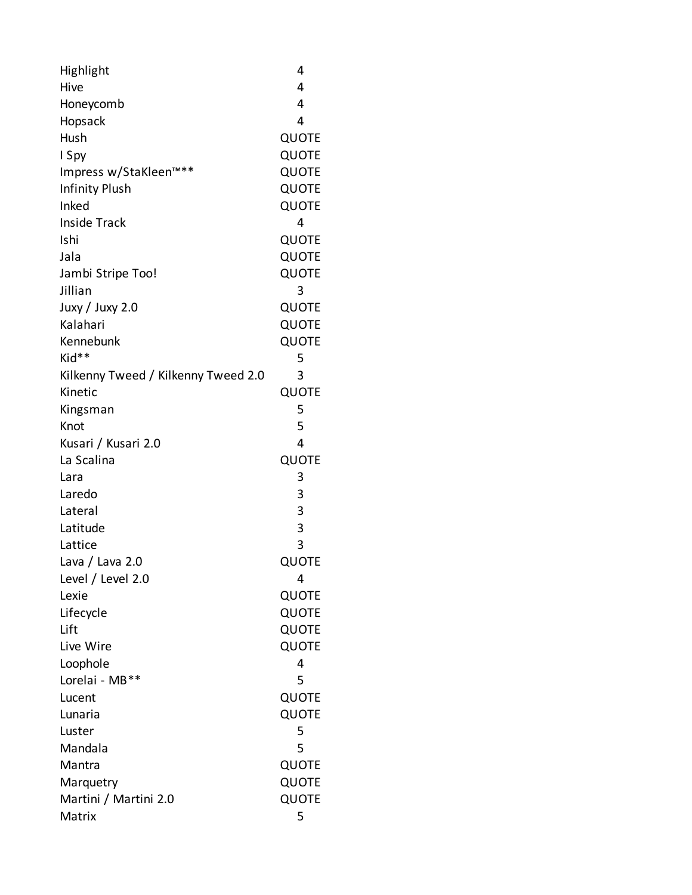| Highlight                           | 4            |
|-------------------------------------|--------------|
| Hive                                | 4            |
| Honeycomb                           | 4            |
| Hopsack                             | 4            |
| Hush                                | <b>QUOTE</b> |
| I Spy                               | QUOTE        |
| Impress w/StaKleen™**               | <b>QUOTE</b> |
| <b>Infinity Plush</b>               | QUOTE        |
| Inked                               | QUOTE        |
| <b>Inside Track</b>                 | 4            |
| Ishi                                | QUOTE        |
| Jala                                | QUOTE        |
| Jambi Stripe Too!                   | QUOTE        |
| Jillian                             | 3            |
| Juxy / Juxy 2.0                     | QUOTE        |
| Kalahari                            | QUOTE        |
| Kennebunk                           | QUOTE        |
| Kid**                               | 5            |
| Kilkenny Tweed / Kilkenny Tweed 2.0 | 3            |
| Kinetic                             | QUOTE        |
| Kingsman                            | 5            |
| Knot                                | 5            |
| Kusari / Kusari 2.0                 | 4            |
| La Scalina                          | QUOTE        |
| Lara                                | 3            |
| Laredo                              | 3            |
| Lateral                             | 3            |
| Latitude                            | 3            |
| Lattice                             | 3            |
| Lava / Lava 2.0                     | QUOTE        |
| Level / Level 2.0                   | 4            |
| Lexie                               | QUOTE        |
| Lifecycle                           | QUOTE        |
| Lift                                | QUOTE        |
| Live Wire                           | QUOTE        |
| Loophole                            | 4            |
| Lorelai - MB**                      | 5            |
| Lucent                              | QUOTE        |
| Lunaria                             | QUOTE        |
| Luster                              | 5            |
| Mandala                             | 5            |
| Mantra                              | QUOTE        |
| Marquetry                           | QUOTE        |
| Martini / Martini 2.0               | QUOTE        |
| Matrix                              | 5            |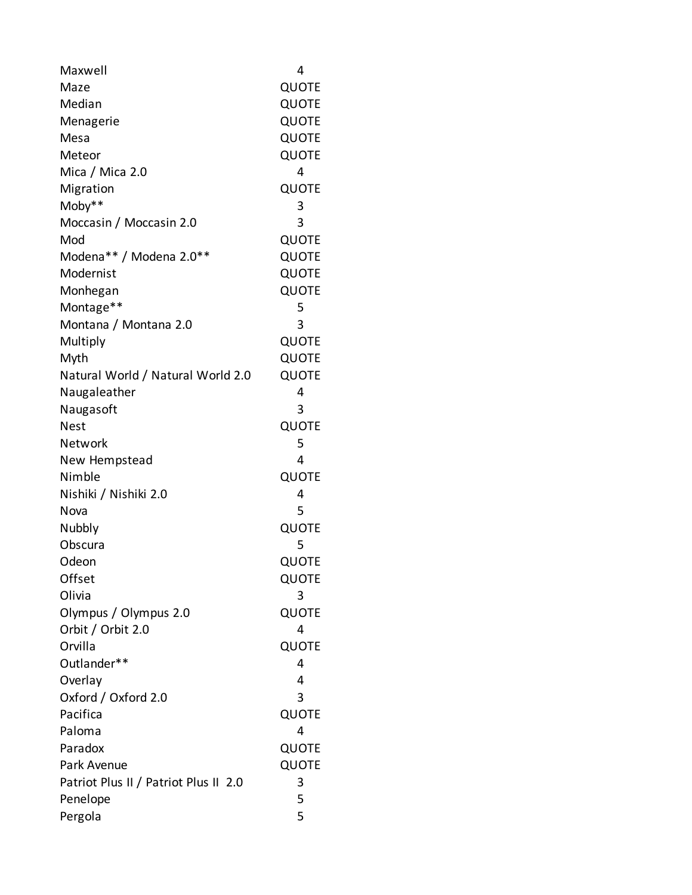| Maxwell                               | 4     |
|---------------------------------------|-------|
| Maze                                  | QUOTE |
| Median                                | QUOTE |
| Menagerie                             | QUOTE |
| Mesa                                  | QUOTE |
| Meteor                                | QUOTE |
| Mica / Mica 2.0                       | 4     |
| Migration                             | QUOTE |
| Moby**                                | 3     |
| Moccasin / Moccasin 2.0               | 3     |
| Mod                                   | QUOTE |
| Modena** / Modena 2.0**               | QUOTE |
| Modernist                             | QUOTE |
| Monhegan                              | QUOTE |
| Montage**                             | 5     |
| Montana / Montana 2.0                 | 3     |
| Multiply                              | QUOTE |
| Myth                                  | QUOTE |
| Natural World / Natural World 2.0     | QUOTE |
| Naugaleather                          | 4     |
| Naugasoft                             | 3     |
| <b>Nest</b>                           | QUOTE |
| Network                               | 5     |
| New Hempstead                         | 4     |
| Nimble                                | QUOTE |
| Nishiki / Nishiki 2.0                 | 4     |
| Nova                                  | 5     |
| Nubbly                                | QUOTE |
| Obscura                               | 5     |
| Odeon                                 | QUOTE |
| Offset                                | QUOTE |
| Olivia                                | 3     |
| Olympus / Olympus 2.0                 | QUOTE |
| Orbit / Orbit 2.0                     | 4     |
| Orvilla                               | QUOTE |
| Outlander**                           | 4     |
| Overlay                               | 4     |
| Oxford / Oxford 2.0                   | 3     |
| Pacifica                              | QUOTE |
| Paloma                                | 4     |
| Paradox                               | QUOTE |
| Park Avenue                           | QUOTE |
| Patriot Plus II / Patriot Plus II 2.0 | 3     |
| Penelope                              | 5     |
| Pergola                               | 5     |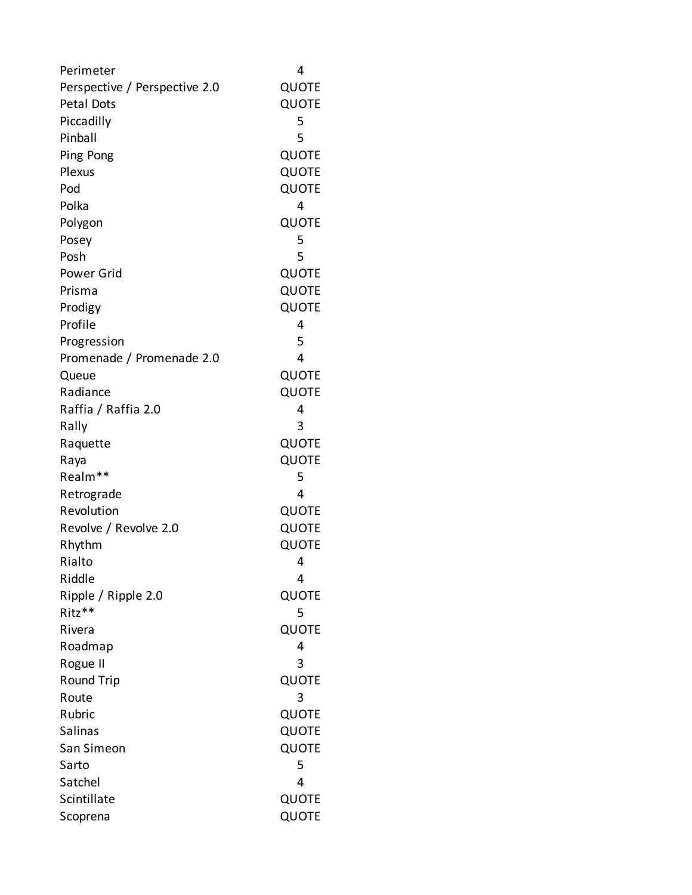| Perimeter                     | 4            |
|-------------------------------|--------------|
| Perspective / Perspective 2.0 | QUOTE        |
| Petal Dots                    | QUOTE        |
| Piccadilly                    | 5            |
| Pinball                       | 5            |
| Ping Pong                     | QUOTE        |
| Plexus                        | QUOTE        |
| Pod                           | QUOTE        |
| Polka                         | 4            |
| Polygon                       | QUOTE        |
| Posey                         | 5            |
| Posh                          | 5            |
| Power Grid                    | QUOTE        |
| Prisma                        | QUOTE        |
| Prodigy                       | QUOTE        |
| Profile                       | 4            |
| Progression                   | 5            |
| Promenade / Promenade 2.0     | 4            |
| Queue                         | QUOTE        |
| Radiance                      | QUOTE        |
| Raffia / Raffia 2.0           | 4            |
| Rally                         | 3            |
| Raquette                      | QUOTE        |
| Raya                          | QUOTE        |
| Realm**                       | 5            |
| Retrograde                    | 4            |
| Revolution                    | QUOTE        |
| Revolve / Revolve 2.0         | QUOTE        |
| Rhythm                        | QUOTE        |
| Rialto                        | 4            |
| Riddle                        | 4            |
| Ripple / Ripple 2.0           | QUOTE        |
| Ritz**                        | 5            |
| Rivera                        | QUOTE        |
| Roadmap                       | 4            |
| Rogue II                      | 3            |
| <b>Round Trip</b>             | QUOTE        |
| Route                         | 3            |
| Rubric                        | QUOTE        |
| <b>Salinas</b>                | QUOTE        |
| San Simeon                    | <b>QUOTE</b> |
| Sarto                         | 5            |
| Satchel                       | 4            |
| Scintillate                   | QUOTE        |
| Scoprena                      | QUOTE        |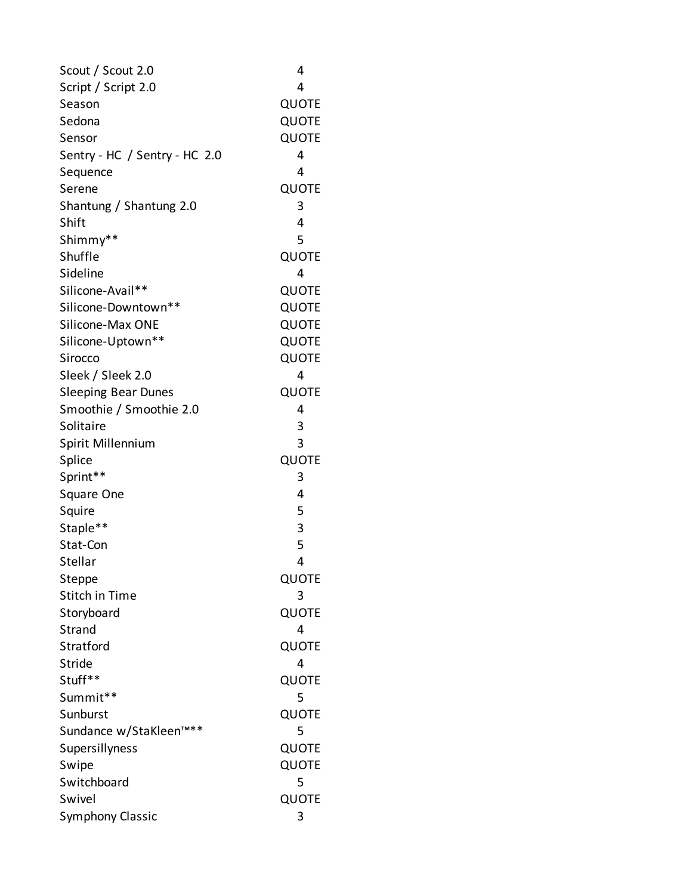| Scout / Scout 2.0             | 4            |
|-------------------------------|--------------|
| Script / Script 2.0           | 4            |
| Season                        | QUOTE        |
| Sedona                        | QUOTE        |
| Sensor                        | QUOTE        |
| Sentry - HC / Sentry - HC 2.0 | 4            |
| Sequence                      | 4            |
| Serene                        | QUOTE        |
| Shantung / Shantung 2.0       | 3            |
| Shift                         | 4            |
| Shimmy**                      | 5            |
| Shuffle                       | QUOTE        |
| Sideline                      | 4            |
| Silicone-Avail**              | <b>QUOTE</b> |
| Silicone-Downtown**           | QUOTE        |
| Silicone-Max ONE              | QUOTE        |
| Silicone-Uptown**             | QUOTE        |
| Sirocco                       | QUOTE        |
| Sleek / Sleek 2.0             | 4            |
| <b>Sleeping Bear Dunes</b>    | QUOTE        |
| Smoothie / Smoothie 2.0       | 4            |
| Solitaire                     | 3            |
| Spirit Millennium             | 3            |
| Splice                        | QUOTE        |
| Sprint**                      | 3            |
| Square One                    | 4            |
| Squire                        | 5            |
| Staple**                      | 3            |
| Stat-Con                      | 5            |
| Stellar                       | 4            |
| Steppe                        | QUOTE        |
| <b>Stitch in Time</b>         | 3            |
| Storyboard                    | QUOTE        |
| Strand                        | 4            |
| Stratford                     | QUOTE        |
| Stride                        | 4            |
| Stuff**                       | QUOTE        |
| Summit**                      | 5            |
| Sunburst                      | QUOTE        |
| Sundance w/StaKleen™**        | 5            |
| Supersillyness                | QUOTE        |
| Swipe                         | QUOTE        |
| Switchboard                   | 5            |
| Swivel                        | QUOTE        |
| Symphony Classic              | 3            |